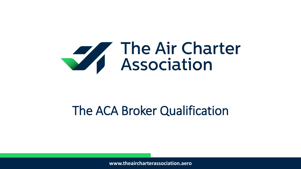

# The ACA Broker Qualification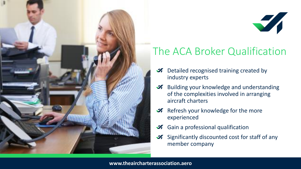

# 

# The ACA Broker Qualification

- *M* Detailed recognised training created by industry experts
- **Building your knowledge and understanding** of the complexities involved in arranging aircraft charters
- **A** Refresh your knowledge for the more experienced
- *A* Gain a professional qualification
- Significantly discounted cost for staff of any member company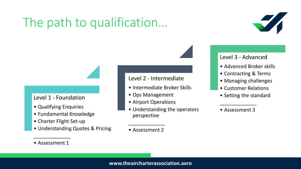# The path to qualification…



#### Level 1 - Foundation

- Qualifying Enquiries
- Fundamental Knowledge
- Charter Flight Set-up
- Understanding Quotes & Pricing

#### Level 2 - Intermediate

- Intermediate Broker Skills
- Ops Management
- Airport Operations
- Understanding the operators perspective
- Assessment 2

#### Level 3 - Advanced

- Advanced Broker skills
- Contracting & Terms
- Managing challenges
- Customer Relations
- Setting the standard

#### • Assessment 3

\_\_\_\_\_\_\_\_\_\_\_\_\_

• Assessment 1

\_\_\_\_\_\_\_\_\_\_\_\_\_

#### **www.theaircharterassociation.aero**

\_\_\_\_\_\_\_\_\_\_\_\_\_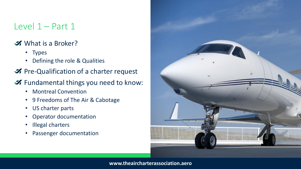## Level 1 – Part 1

#### What is a Broker?

- Types
- Defining the role & Qualities
- **A** Pre-Qualification of a charter request
- *K* Fundamental things you need to know:
	- Montreal Convention
	- 9 Freedoms of The Air & Cabotage
	- US charter parts
	- Operator documentation
	- Illegal charters
	- Passenger documentation

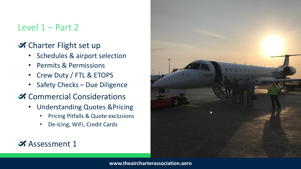## Level  $1 -$  Part 2

## K Charter Flight set up

- Schedules & airport selection
- Permits & Permissions
- Crew Duty / FTL & ETOPS
- Safety Checks Due Diligence

## **X** Commercial Considerations

- Understanding Quotes &Pricing
	- Pricing Pitfalls & Quote exclusions
	- De-Icing, WiFi, Credit Cards

## **Assessment 1**

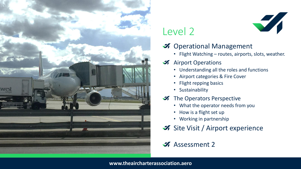

## Level 2

## *M* Operational Management

• Flight Watching – routes, airports, slots, weather.

#### **A** Airport Operations

- Understanding all the roles and functions
- Airport categories & Fire Cover
- Flight repping basics
- Sustainability
- The Operators Perspective
	- What the operator needs from you
	- How is a flight set up
	- Working in partnership
- Site Visit / Airport experience

## **Assessment 2**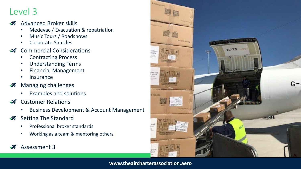## Level 3

- **Advanced Broker skills** 
	- Medevac / Evacuation & repatriation
	- Music Tours / Roadshows
	- Corporate Shuttles
- **X** Commercial Considerations
	- Contracting Process
	- Understanding Terms
	- Financial Management
	- **Insurance**
- **Managing challenges** 
	- Examples and solutions
- Customer Relations  $\mathcal{I}$ 
	- Business Development & Account Management
- Setting The Standard
	- Professional broker standards
	- Working as a team & mentoring others

#### Assessment 3